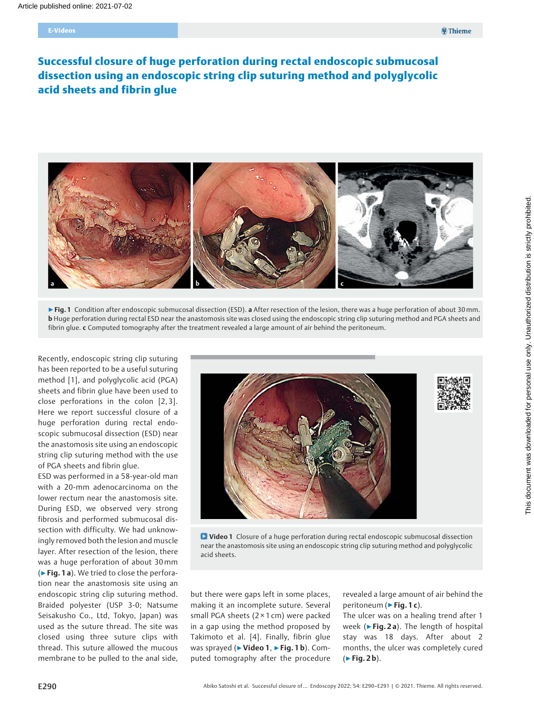# E-Videos

# Successful closure of huge perforation during rectal endoscopic submucosal dissection using an endoscopic string clip suturing method and polyglycolic acid sheets and fibrin glue



▶ Fig. 1 Condition after endoscopic submucosal dissection (ESD). a After resection of the lesion, there was a huge perforation of about 30 mm. b Huge perforation during rectal ESD near the anastomosis site was closed using the endoscopic string clip suturing method and PGA sheets and fibrin glue. c Computed tomography after the treatment revealed a large amount of air behind the peritoneum.

Recently, endoscopic string clip suturing has been reported to be a useful suturing method [1], and polyglycolic acid (PGA) sheets and fibrin glue have been used to close perforations in the colon [2, 3]. Here we report successful closure of a huge perforation during rectal endoscopic submucosal dissection (ESD) near the anastomosis site using an endoscopic string clip suturing method with the use of PGA sheets and fibrin glue.

ESD was performed in a 58-year-old man with a 20-mm adenocarcinoma on the lower rectum near the anastomosis site. During ESD, we observed very strong fibrosis and performed submucosal dissection with difficulty. We had unknowingly removed both the lesion and muscle layer. After resection of the lesion, there was a huge perforation of about 30mm (▶Fig. 1 a). We tried to close the perforation near the anastomosis site using an endoscopic string clip suturing method. Braided polyester (USP 3-0; Natsume Seisakusho Co., Ltd, Tokyo, Japan) was used as the suture thread. The site was closed using three suture clips with thread. This suture allowed the mucous membrane to be pulled to the anal side,



**D** Video 1 Closure of a huge perforation during rectal endoscopic submucosal dissection near the anastomosis site using an endoscopic string clip suturing method and polyglycolic acid sheets.

but there were gaps left in some places, making it an incomplete suture. Several small PGA sheets (2 × 1 cm) were packed in a gap using the method proposed by Takimoto et al. [4]. Finally, fibrin glue was sprayed (▶ Video 1, ▶ Fig. 1 b). Computed tomography after the procedure

revealed a large amount of air behind the peritoneum (► Fig. 1 c).

The ulcer was on a healing trend after 1 week (► Fig. 2 a). The length of hospital stay was 18 days. After about 2 months, the ulcer was completely cured  $(F$ Fig. 2b).